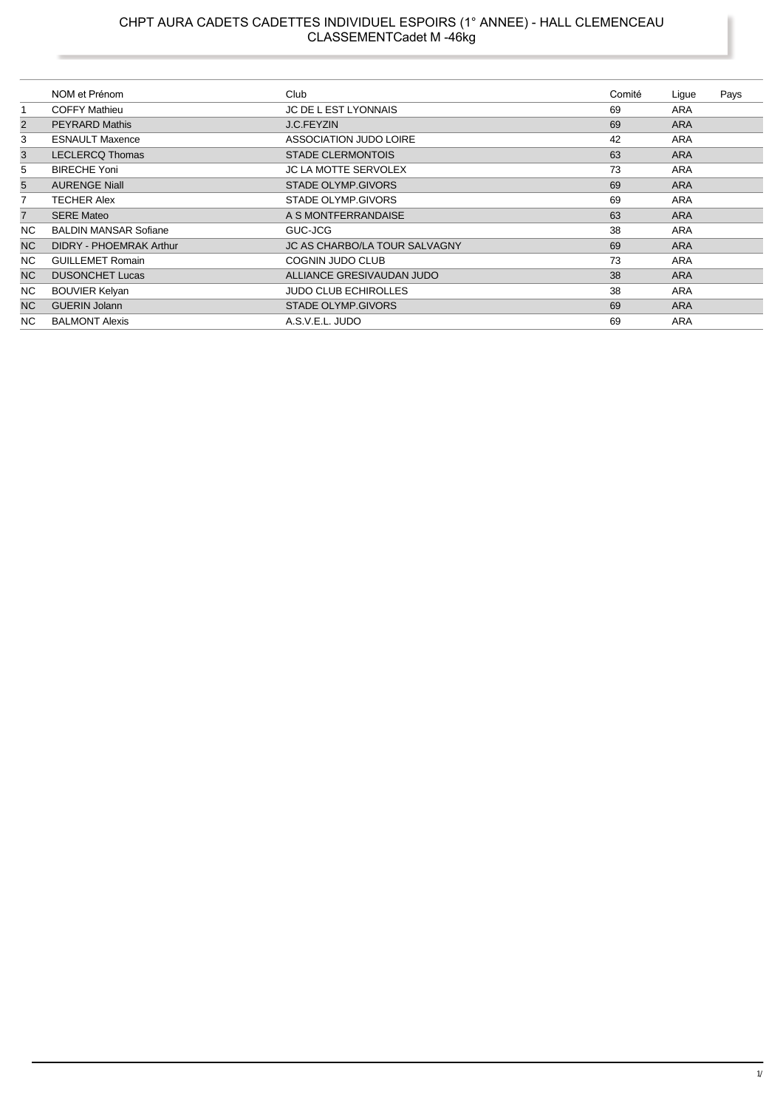|                | NOM et Prénom                | Club                          | Comité | Lique      | Pays |
|----------------|------------------------------|-------------------------------|--------|------------|------|
| 1              | <b>COFFY Mathieu</b>         | <b>JC DE L EST LYONNAIS</b>   | 69     | ARA        |      |
| 2              | <b>PEYRARD Mathis</b>        | <b>J.C.FEYZIN</b>             | 69     | <b>ARA</b> |      |
| 3              | <b>ESNAULT Maxence</b>       | <b>ASSOCIATION JUDO LOIRE</b> | 42     | ARA        |      |
| 3              | <b>LECLERCQ Thomas</b>       | <b>STADE CLERMONTOIS</b>      | 63     | <b>ARA</b> |      |
| 5              | <b>BIRECHE Yoni</b>          | <b>JC LA MOTTE SERVOLEX</b>   | 73     | ARA        |      |
| 5              | <b>AURENGE Niall</b>         | STADE OLYMP.GIVORS            | 69     | <b>ARA</b> |      |
| 7              | <b>TECHER Alex</b>           | STADE OLYMP.GIVORS            | 69     | ARA        |      |
| $\overline{7}$ | <b>SERE Mateo</b>            | A S MONTFERRANDAISE           | 63     | <b>ARA</b> |      |
| NC.            | <b>BALDIN MANSAR Sofiane</b> | GUC-JCG                       | 38     | <b>ARA</b> |      |
| NC.            | DIDRY - PHOEMRAK Arthur      | JC AS CHARBO/LA TOUR SALVAGNY | 69     | <b>ARA</b> |      |
| NC.            | <b>GUILLEMET Romain</b>      | COGNIN JUDO CLUB              | 73     | ARA        |      |
| <b>NC</b>      | <b>DUSONCHET Lucas</b>       | ALLIANCE GRESIVAUDAN JUDO     | 38     | <b>ARA</b> |      |
| NC.            | <b>BOUVIER Kelyan</b>        | <b>JUDO CLUB ECHIROLLES</b>   | 38     | ARA        |      |
| N <sub>C</sub> | <b>GUERIN Jolann</b>         | <b>STADE OLYMP.GIVORS</b>     | 69     | <b>ARA</b> |      |
| NC.            | <b>BALMONT Alexis</b>        | A.S.V.E.L. JUDO               | 69     | ARA        |      |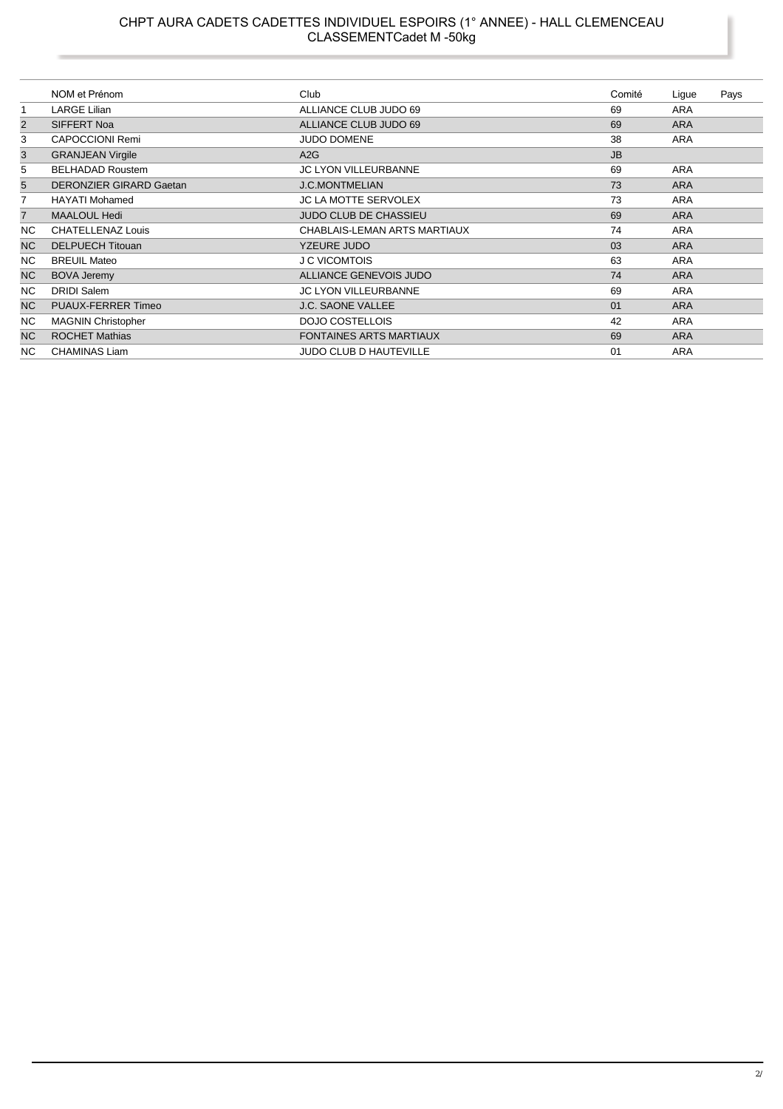## CHPT AURA CADETS CADETTES INDIVIDUEL ESPOIRS (1° ANNEE) - HALL CLEMENCEAU<br>CLASSEMENTCadet M -50kg

|                | NOM et Prénom                  | Club                           | Comité    | Lique      | Pays |
|----------------|--------------------------------|--------------------------------|-----------|------------|------|
| $\mathbf{1}$   | <b>LARGE Lilian</b>            | ALLIANCE CLUB JUDO 69          | 69        | <b>ARA</b> |      |
| $\overline{2}$ | SIFFERT Noa                    | ALLIANCE CLUB JUDO 69          | 69        | <b>ARA</b> |      |
| 3              | <b>CAPOCCIONI Remi</b>         | <b>JUDO DOMENE</b>             | 38        | <b>ARA</b> |      |
| 3              | <b>GRANJEAN Virgile</b>        | A2G                            | <b>JB</b> |            |      |
| 5              | <b>BELHADAD Roustem</b>        | <b>JC LYON VILLEURBANNE</b>    | 69        | <b>ARA</b> |      |
| 5              | <b>DERONZIER GIRARD Gaetan</b> | <b>J.C.MONTMELIAN</b>          | 73        | <b>ARA</b> |      |
| 7              | <b>HAYATI Mohamed</b>          | <b>JC LA MOTTE SERVOLEX</b>    | 73        | <b>ARA</b> |      |
| $\overline{7}$ | <b>MAALOUL Hedi</b>            | JUDO CLUB DE CHASSIEU          | 69        | <b>ARA</b> |      |
| <b>NC</b>      | <b>CHATELLENAZ Louis</b>       | CHABLAIS-LEMAN ARTS MARTIAUX   | 74        | <b>ARA</b> |      |
| <b>NC</b>      | <b>DELPUECH Titouan</b>        | <b>YZEURE JUDO</b>             | 03        | <b>ARA</b> |      |
| <b>NC</b>      | <b>BREUIL Mateo</b>            | <b>J C VICOMTOIS</b>           | 63        | <b>ARA</b> |      |
| NC             | <b>BOVA Jeremy</b>             | ALLIANCE GENEVOIS JUDO         | 74        | <b>ARA</b> |      |
| <b>NC</b>      | <b>DRIDI Salem</b>             | <b>JC LYON VILLEURBANNE</b>    | 69        | <b>ARA</b> |      |
| <b>NC</b>      | <b>PUAUX-FERRER Timeo</b>      | <b>J.C. SAONE VALLEE</b>       | 01        | <b>ARA</b> |      |
| <b>NC</b>      | <b>MAGNIN Christopher</b>      | DOJO COSTELLOIS                | 42        | <b>ARA</b> |      |
| <b>NC</b>      | <b>ROCHET Mathias</b>          | <b>FONTAINES ARTS MARTIAUX</b> | 69        | <b>ARA</b> |      |
| <b>NC</b>      | <b>CHAMINAS Liam</b>           | <b>JUDO CLUB D HAUTEVILLE</b>  | 01        | <b>ARA</b> |      |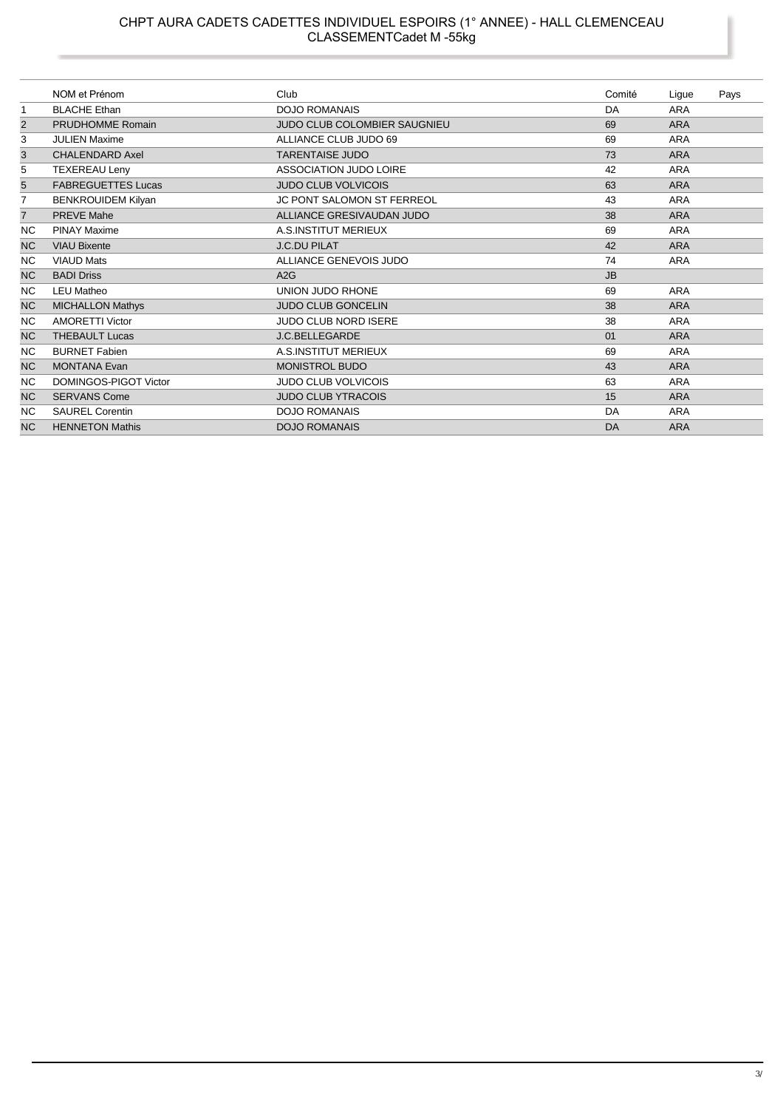|                         | NOM et Prénom             | Club                              | Comité    | Ligue      | Pays |
|-------------------------|---------------------------|-----------------------------------|-----------|------------|------|
| 1                       | <b>BLACHE Ethan</b>       | <b>DOJO ROMANAIS</b>              | DA        | <b>ARA</b> |      |
| $\overline{\mathbf{c}}$ | PRUDHOMME Romain          | JUDO CLUB COLOMBIER SAUGNIEU      | 69        | <b>ARA</b> |      |
| 3                       | <b>JULIEN Maxime</b>      | ALLIANCE CLUB JUDO 69             | 69        | <b>ARA</b> |      |
| 3                       | <b>CHALENDARD Axel</b>    | <b>TARENTAISE JUDO</b>            | 73        | <b>ARA</b> |      |
| 5                       | <b>TEXEREAU Leny</b>      | ASSOCIATION JUDO LOIRE            | 42        | <b>ARA</b> |      |
| $\overline{5}$          | <b>FABREGUETTES Lucas</b> | <b>JUDO CLUB VOLVICOIS</b>        | 63        | <b>ARA</b> |      |
| $\overline{7}$          | <b>BENKROUIDEM Kilyan</b> | <b>JC PONT SALOMON ST FERREOL</b> | 43        | <b>ARA</b> |      |
| $\overline{7}$          | <b>PREVE Mahe</b>         | ALLIANCE GRESIVAUDAN JUDO         | 38        | <b>ARA</b> |      |
| <b>NC</b>               | <b>PINAY Maxime</b>       | A.S.INSTITUT MERIEUX              | 69        | <b>ARA</b> |      |
| <b>NC</b>               | <b>VIAU Bixente</b>       | <b>J.C.DU PILAT</b>               | 42        | <b>ARA</b> |      |
| <b>NC</b>               | <b>VIAUD Mats</b>         | ALLIANCE GENEVOIS JUDO            | 74        | ARA        |      |
| <b>NC</b>               | <b>BADI Driss</b>         | A2G                               | <b>JB</b> |            |      |
| NC.                     | <b>LEU Matheo</b>         | UNION JUDO RHONE                  | 69        | <b>ARA</b> |      |
| <b>NC</b>               | <b>MICHALLON Mathys</b>   | JUDO CLUB GONCELIN                | 38        | <b>ARA</b> |      |
| <b>NC</b>               | <b>AMORETTI Victor</b>    | <b>JUDO CLUB NORD ISERE</b>       | 38        | <b>ARA</b> |      |
| <b>NC</b>               | <b>THEBAULT Lucas</b>     | J.C.BELLEGARDE                    | 01        | <b>ARA</b> |      |
| NC.                     | <b>BURNET Fabien</b>      | A.S.INSTITUT MERIEUX              | 69        | <b>ARA</b> |      |
| <b>NC</b>               | <b>MONTANA Evan</b>       | MONISTROL BUDO                    | 43        | <b>ARA</b> |      |
| NC.                     | DOMINGOS-PIGOT Victor     | <b>JUDO CLUB VOLVICOIS</b>        | 63        | <b>ARA</b> |      |
| <b>NC</b>               | <b>SERVANS Come</b>       | <b>JUDO CLUB YTRACOIS</b>         | 15        | <b>ARA</b> |      |
| <b>NC</b>               | <b>SAUREL Corentin</b>    | <b>DOJO ROMANAIS</b>              | DA        | <b>ARA</b> |      |
| <b>NC</b>               | <b>HENNETON Mathis</b>    | <b>DOJO ROMANAIS</b>              | DA        | <b>ARA</b> |      |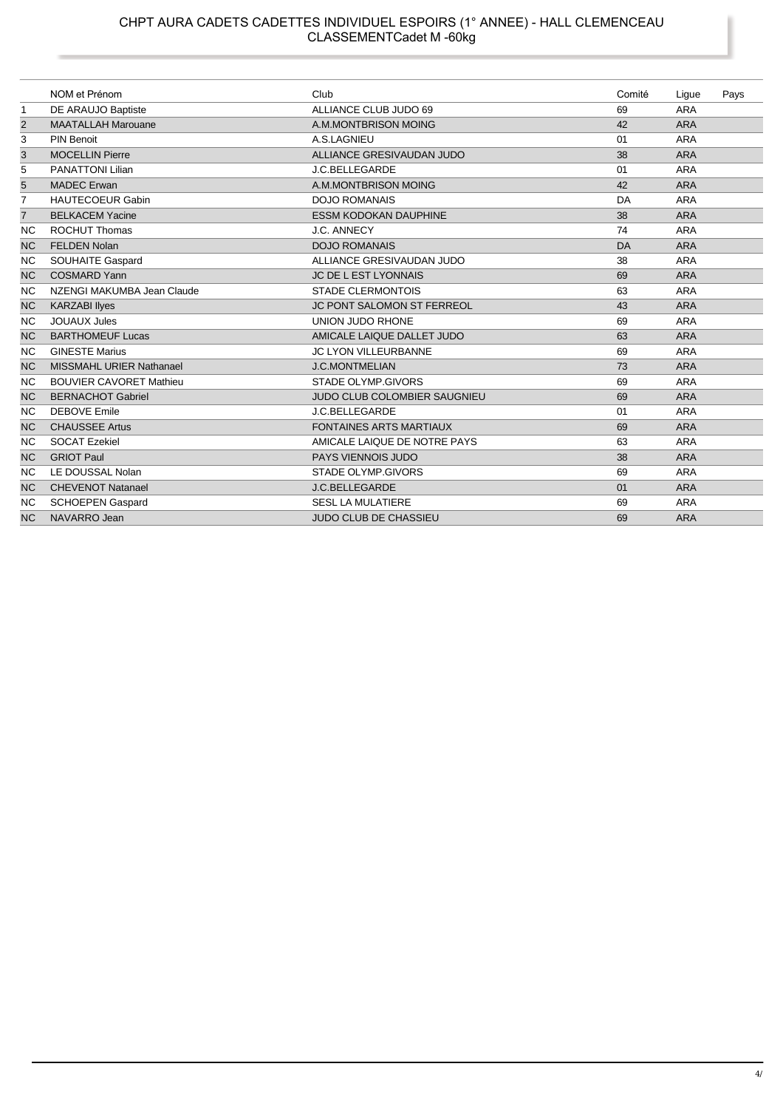#### CHPT AURA CADETS CADETTES INDIVIDUEL ESPOIRS (1° ANNEE) - HALL CLEMENCEAU CLASSEMENTCadet M -60kg

|                | NOM et Prénom                   | Club                                | Comité | Ligue      | Pays |
|----------------|---------------------------------|-------------------------------------|--------|------------|------|
| 1              | DE ARAUJO Baptiste              | ALLIANCE CLUB JUDO 69               | 69     | <b>ARA</b> |      |
| 2              | <b>MAATALLAH Marouane</b>       | A.M.MONTBRISON MOING                | 42     | <b>ARA</b> |      |
| 3              | <b>PIN Benoit</b>               | A.S.LAGNIEU                         | 01     | <b>ARA</b> |      |
| 3              | <b>MOCELLIN Pierre</b>          | ALLIANCE GRESIVAUDAN JUDO           | 38     | <b>ARA</b> |      |
| 5              | <b>PANATTONI Lilian</b>         | J.C.BELLEGARDE                      | 01     | <b>ARA</b> |      |
| 5              | <b>MADEC</b> Erwan              | A.M.MONTBRISON MOING                | 42     | <b>ARA</b> |      |
| 7              | <b>HAUTECOEUR Gabin</b>         | <b>DOJO ROMANAIS</b>                | DA     | <b>ARA</b> |      |
| $\overline{7}$ | <b>BELKACEM Yacine</b>          | <b>ESSM KODOKAN DAUPHINE</b>        | 38     | <b>ARA</b> |      |
| <b>NC</b>      | <b>ROCHUT Thomas</b>            | J.C. ANNECY                         | 74     | <b>ARA</b> |      |
| <b>NC</b>      | <b>FELDEN Nolan</b>             | <b>DOJO ROMANAIS</b>                | DA     | <b>ARA</b> |      |
| <b>NC</b>      | <b>SOUHAITE Gaspard</b>         | ALLIANCE GRESIVAUDAN JUDO           | 38     | <b>ARA</b> |      |
| <b>NC</b>      | <b>COSMARD Yann</b>             | <b>JC DE L EST LYONNAIS</b>         | 69     | <b>ARA</b> |      |
| <b>NC</b>      | NZENGI MAKUMBA Jean Claude      | <b>STADE CLERMONTOIS</b>            | 63     | <b>ARA</b> |      |
| <b>NC</b>      | <b>KARZABI Ilyes</b>            | <b>JC PONT SALOMON ST FERREOL</b>   | 43     | <b>ARA</b> |      |
| <b>NC</b>      | <b>JOUAUX Jules</b>             | UNION JUDO RHONE                    | 69     | <b>ARA</b> |      |
| <b>NC</b>      | <b>BARTHOMEUF Lucas</b>         | AMICALE LAIQUE DALLET JUDO          | 63     | <b>ARA</b> |      |
| <b>NC</b>      | <b>GINESTE Marius</b>           | <b>JC LYON VILLEURBANNE</b>         | 69     | <b>ARA</b> |      |
| <b>NC</b>      | <b>MISSMAHL URIER Nathanael</b> | <b>J.C.MONTMELIAN</b>               | 73     | <b>ARA</b> |      |
| <b>NC</b>      | <b>BOUVIER CAVORET Mathieu</b>  | <b>STADE OLYMP.GIVORS</b>           | 69     | <b>ARA</b> |      |
| <b>NC</b>      | <b>BERNACHOT Gabriel</b>        | <b>JUDO CLUB COLOMBIER SAUGNIEU</b> | 69     | <b>ARA</b> |      |
| <b>NC</b>      | <b>DEBOVE Emile</b>             | J.C.BELLEGARDE                      | 01     | <b>ARA</b> |      |
| <b>NC</b>      | <b>CHAUSSEE Artus</b>           | <b>FONTAINES ARTS MARTIAUX</b>      | 69     | <b>ARA</b> |      |
| <b>NC</b>      | <b>SOCAT Ezekiel</b>            | AMICALE LAIQUE DE NOTRE PAYS        | 63     | <b>ARA</b> |      |
| <b>NC</b>      | <b>GRIOT Paul</b>               | <b>PAYS VIENNOIS JUDO</b>           | 38     | <b>ARA</b> |      |
| NC             | LE DOUSSAL Nolan                | <b>STADE OLYMP.GIVORS</b>           | 69     | <b>ARA</b> |      |
| <b>NC</b>      | <b>CHEVENOT Natanael</b>        | J.C.BELLEGARDE                      | 01     | <b>ARA</b> |      |
| ΝC             | <b>SCHOEPEN Gaspard</b>         | <b>SESL LA MULATIERE</b>            | 69     | <b>ARA</b> |      |
| <b>NC</b>      | NAVARRO Jean                    | <b>JUDO CLUB DE CHASSIEU</b>        | 69     | <b>ARA</b> |      |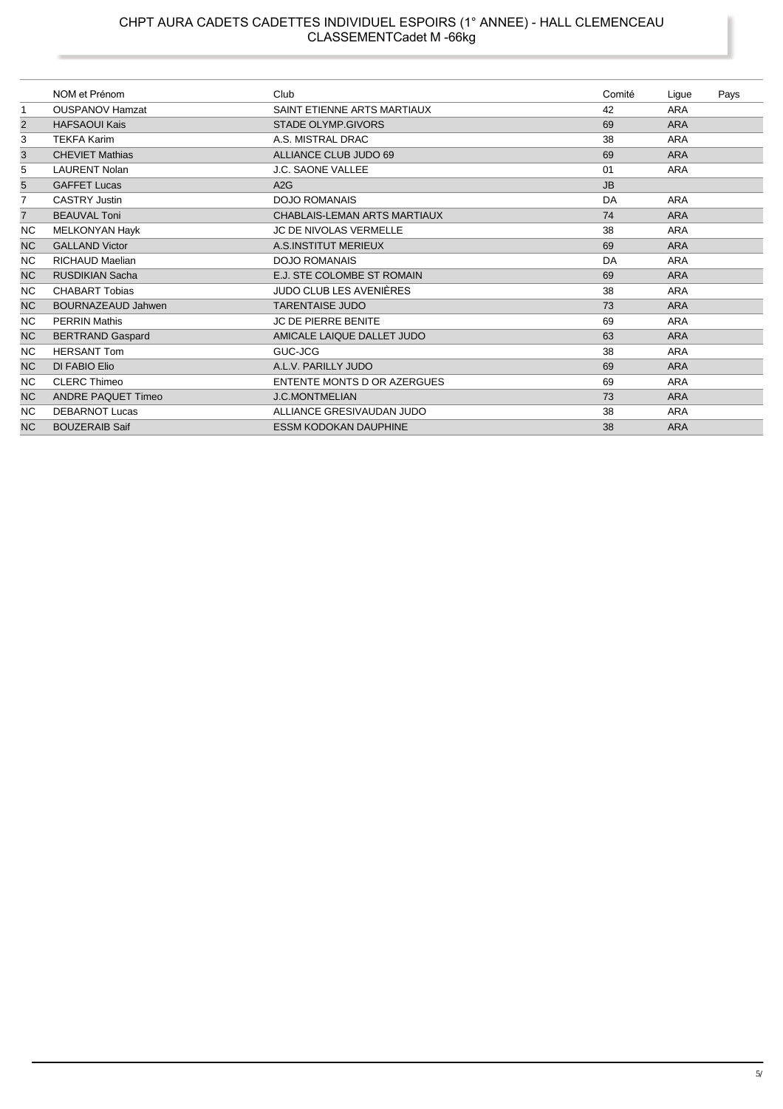## CHPT AURA CADETS CADETTES INDIVIDUEL ESPOIRS (1° ANNEE) - HALL CLEMENCEAU<br>CLASSEMENTCadet M -66kg

|                | NOM et Prénom             | Club                           | Comité    | Ligue      | Pays |
|----------------|---------------------------|--------------------------------|-----------|------------|------|
| 1              | <b>OUSPANOV Hamzat</b>    | SAINT ETIENNE ARTS MARTIAUX    | 42        | <b>ARA</b> |      |
| $\overline{2}$ | <b>HAFSAOUI Kais</b>      | <b>STADE OLYMP.GIVORS</b>      | 69        | <b>ARA</b> |      |
| 3              | <b>TEKFA Karim</b>        | A.S. MISTRAL DRAC              | 38        | <b>ARA</b> |      |
| 3              | <b>CHEVIET Mathias</b>    | ALLIANCE CLUB JUDO 69          | 69        | <b>ARA</b> |      |
| 5              | <b>LAURENT Nolan</b>      | J.C. SAONE VALLEE              | 01        | <b>ARA</b> |      |
| $\overline{5}$ | <b>GAFFET Lucas</b>       | A2G                            | <b>JB</b> |            |      |
| 7              | <b>CASTRY Justin</b>      | <b>DOJO ROMANAIS</b>           | DA        | <b>ARA</b> |      |
| $\overline{7}$ | <b>BEAUVAL Toni</b>       | CHABLAIS-LEMAN ARTS MARTIAUX   | 74        | <b>ARA</b> |      |
| <b>NC</b>      | MELKONYAN Hayk            | <b>JC DE NIVOLAS VERMELLE</b>  | 38        | <b>ARA</b> |      |
| <b>NC</b>      | <b>GALLAND Victor</b>     | A.S.INSTITUT MERIEUX           | 69        | <b>ARA</b> |      |
| <b>NC</b>      | <b>RICHAUD Maelian</b>    | <b>DOJO ROMANAIS</b>           | DA        | <b>ARA</b> |      |
| <b>NC</b>      | <b>RUSDIKIAN Sacha</b>    | E.J. STE COLOMBE ST ROMAIN     | 69        | <b>ARA</b> |      |
| NC.            | <b>CHABART Tobias</b>     | <b>JUDO CLUB LES AVENIÈRES</b> | 38        | <b>ARA</b> |      |
| <b>NC</b>      | <b>BOURNAZEAUD Jahwen</b> | <b>TARENTAISE JUDO</b>         | 73        | <b>ARA</b> |      |
| <b>NC</b>      | <b>PERRIN Mathis</b>      | <b>JC DE PIERRE BENITE</b>     | 69        | <b>ARA</b> |      |
| <b>NC</b>      | <b>BERTRAND Gaspard</b>   | AMICALE LAIQUE DALLET JUDO     | 63        | <b>ARA</b> |      |
| <b>NC</b>      | <b>HERSANT Tom</b>        | GUC-JCG                        | 38        | <b>ARA</b> |      |
| <b>NC</b>      | DI FABIO Elio             | A.L.V. PARILLY JUDO            | 69        | <b>ARA</b> |      |
| <b>NC</b>      | <b>CLERC Thimeo</b>       | ENTENTE MONTS D OR AZERGUES    | 69        | <b>ARA</b> |      |
| <b>NC</b>      | <b>ANDRE PAQUET Timeo</b> | <b>J.C.MONTMELIAN</b>          | 73        | <b>ARA</b> |      |
| <b>NC</b>      | <b>DEBARNOT Lucas</b>     | ALLIANCE GRESIVAUDAN JUDO      | 38        | <b>ARA</b> |      |
| <b>NC</b>      | <b>BOUZERAIB Saif</b>     | <b>ESSM KODOKAN DAUPHINE</b>   | 38        | <b>ARA</b> |      |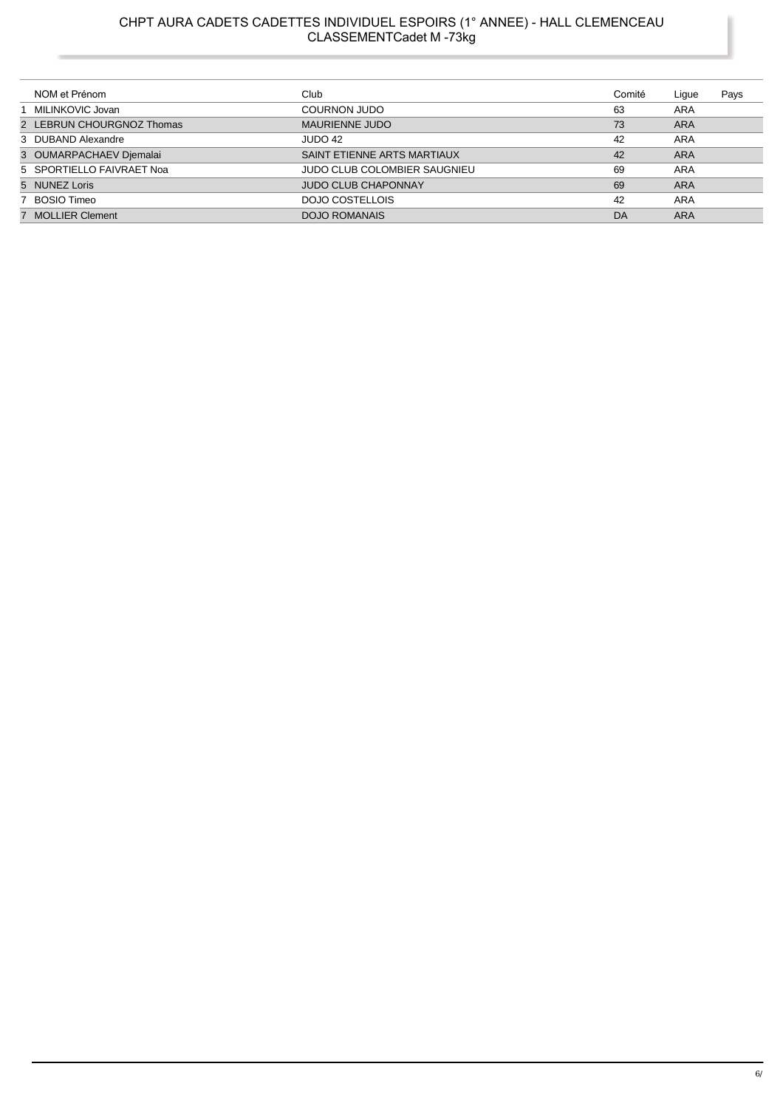## CHPT AURA CADETS CADETTES INDIVIDUEL ESPOIRS (1° ANNEE) - HALL CLEMENCEAU<br>CLASSEMENTCadet M -73kg

| NOM et Prénom             | Club                         | Comité | Lique      | Pays |
|---------------------------|------------------------------|--------|------------|------|
| 1 MILINKOVIC Jovan        | <b>COURNON JUDO</b>          | 63     | ARA        |      |
| 2 LEBRUN CHOURGNOZ Thomas | MAURIENNE JUDO               | 73     | <b>ARA</b> |      |
| 3 DUBAND Alexandre        | JUDO 42                      | 42     | ARA        |      |
| 3 OUMARPACHAEV Djemalai   | SAINT ETIENNE ARTS MARTIAUX  | 42     | ARA        |      |
| 5 SPORTIELLO FAIVRAET Noa | JUDO CLUB COLOMBIER SAUGNIEU | 69     | ARA        |      |
| 5 NUNEZ Loris             | <b>JUDO CLUB CHAPONNAY</b>   | 69     | <b>ARA</b> |      |
| 7 BOSIO Timeo             | DOJO COSTELLOIS              | 42     | ARA        |      |
| 7 MOLLIER Clement         | <b>DOJO ROMANAIS</b>         | DA     | <b>ARA</b> |      |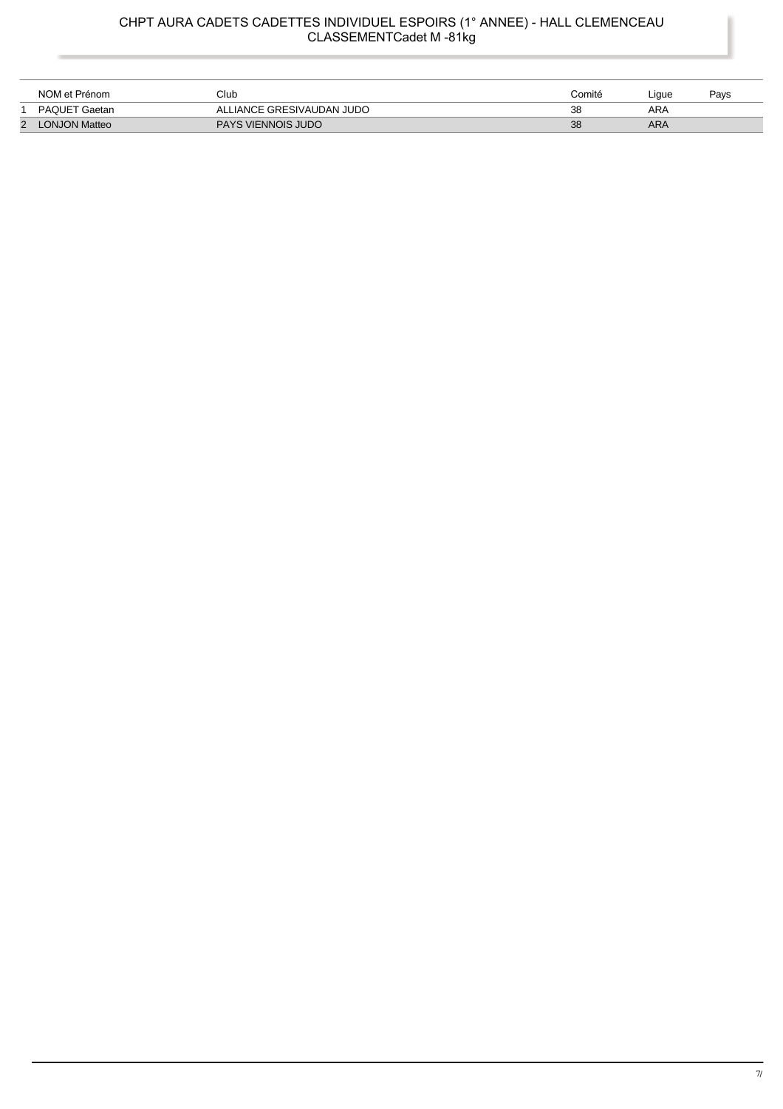#### CHPT AURA CADETS CADETTES INDIVIDUEL ESPOIRS (1° ANNEE) - HALL CLEMENCEAU CLASSEMENTCadet M -81kg

|   | NOM et Prénom        | Club                      | Comité | Liaue | Pavs |
|---|----------------------|---------------------------|--------|-------|------|
|   | PAQUET Gaetan        | ALLIANCE GRESIVAUDAN JUDO | 38     | ARA   |      |
| 2 | <b>LONJON Matteo</b> | <b>PAYS VIENNOIS JUDO</b> | 38     | ARA   |      |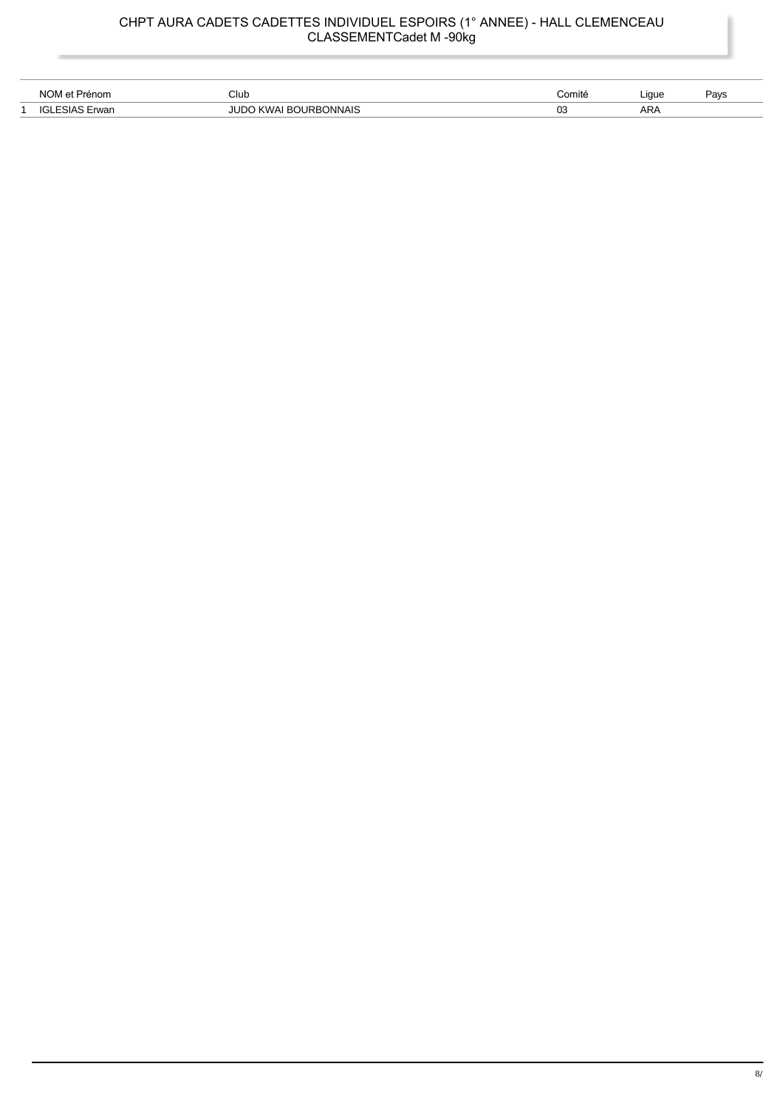# CHPT AURA CADETS CADETTES INDIVIDUEL ESPOIRS (1° ANNEE) - HALL CLEMENCEAU<br>CLASSEMENTCadet M -90kg

| <b>NO</b>    | Club                            | <i>C</i> omité | Liaue | Pavs |
|--------------|---------------------------------|----------------|-------|------|
| $\Omega$<br> | <b>JNAIS</b><br>IR <sub>R</sub> | 03             | ARA   |      |